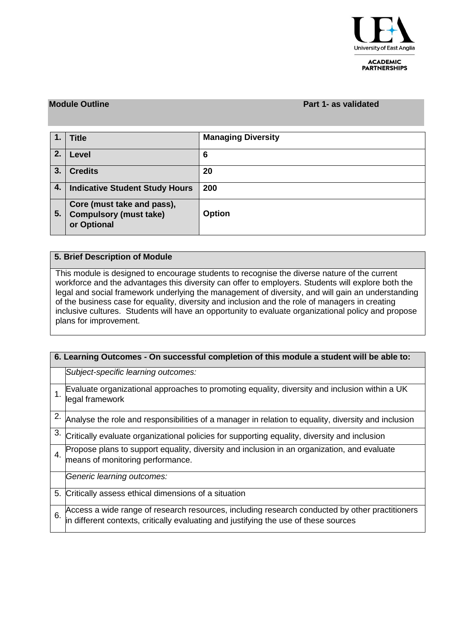

#### **ACADEMIC PARTNERSHIPS**

### **Module Outline Part 1- as validated**

|    | <b>Title</b>                                                               | <b>Managing Diversity</b> |
|----|----------------------------------------------------------------------------|---------------------------|
| 2. | Level                                                                      | 6                         |
| 3. | <b>Credits</b>                                                             | 20                        |
| 4. | <b>Indicative Student Study Hours</b>                                      | 200                       |
| 5. | Core (must take and pass),<br><b>Compulsory (must take)</b><br>or Optional | <b>Option</b>             |

## **5. Brief Description of Module**

This module is designed to encourage students to recognise the diverse nature of the current workforce and the advantages this diversity can offer to employers. Students will explore both the legal and social framework underlying the management of diversity, and will gain an understanding of the business case for equality, diversity and inclusion and the role of managers in creating inclusive cultures. Students will have an opportunity to evaluate organizational policy and propose plans for improvement.

| 6. Learning Outcomes - On successful completion of this module a student will be able to: |                                                                                                                                                                                        |  |  |  |  |  |  |
|-------------------------------------------------------------------------------------------|----------------------------------------------------------------------------------------------------------------------------------------------------------------------------------------|--|--|--|--|--|--|
|                                                                                           | Subject-specific learning outcomes:                                                                                                                                                    |  |  |  |  |  |  |
|                                                                                           | Evaluate organizational approaches to promoting equality, diversity and inclusion within a UK<br>legal framework                                                                       |  |  |  |  |  |  |
| 2.                                                                                        | Analyse the role and responsibilities of a manager in relation to equality, diversity and inclusion                                                                                    |  |  |  |  |  |  |
| 3.                                                                                        | Critically evaluate organizational policies for supporting equality, diversity and inclusion                                                                                           |  |  |  |  |  |  |
| $\overline{4}$ .                                                                          | Propose plans to support equality, diversity and inclusion in an organization, and evaluate<br>means of monitoring performance.                                                        |  |  |  |  |  |  |
|                                                                                           | Generic learning outcomes:                                                                                                                                                             |  |  |  |  |  |  |
|                                                                                           | 5. Critically assess ethical dimensions of a situation                                                                                                                                 |  |  |  |  |  |  |
| 6.                                                                                        | Access a wide range of research resources, including research conducted by other practitioners<br>in different contexts, critically evaluating and justifying the use of these sources |  |  |  |  |  |  |